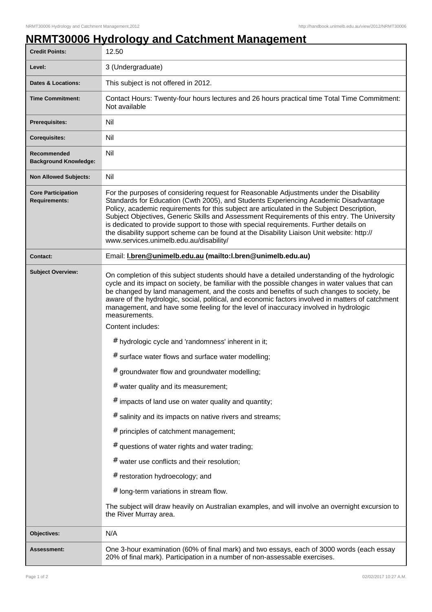## **NRMT30006 Hydrology and Catchment Management**

| <b>Credit Points:</b>                             | 12.50                                                                                                                                                                                                                                                                                                                                                                                                                                                                                                                                                                                                                                                                                                                                                                                                                                                                                                                                                                                                                                                                                                                                                                                                                |
|---------------------------------------------------|----------------------------------------------------------------------------------------------------------------------------------------------------------------------------------------------------------------------------------------------------------------------------------------------------------------------------------------------------------------------------------------------------------------------------------------------------------------------------------------------------------------------------------------------------------------------------------------------------------------------------------------------------------------------------------------------------------------------------------------------------------------------------------------------------------------------------------------------------------------------------------------------------------------------------------------------------------------------------------------------------------------------------------------------------------------------------------------------------------------------------------------------------------------------------------------------------------------------|
| Level:                                            | 3 (Undergraduate)                                                                                                                                                                                                                                                                                                                                                                                                                                                                                                                                                                                                                                                                                                                                                                                                                                                                                                                                                                                                                                                                                                                                                                                                    |
| <b>Dates &amp; Locations:</b>                     | This subject is not offered in 2012.                                                                                                                                                                                                                                                                                                                                                                                                                                                                                                                                                                                                                                                                                                                                                                                                                                                                                                                                                                                                                                                                                                                                                                                 |
| <b>Time Commitment:</b>                           | Contact Hours: Twenty-four hours lectures and 26 hours practical time Total Time Commitment:<br>Not available                                                                                                                                                                                                                                                                                                                                                                                                                                                                                                                                                                                                                                                                                                                                                                                                                                                                                                                                                                                                                                                                                                        |
| <b>Prerequisites:</b>                             | Nil                                                                                                                                                                                                                                                                                                                                                                                                                                                                                                                                                                                                                                                                                                                                                                                                                                                                                                                                                                                                                                                                                                                                                                                                                  |
| <b>Corequisites:</b>                              | Nil                                                                                                                                                                                                                                                                                                                                                                                                                                                                                                                                                                                                                                                                                                                                                                                                                                                                                                                                                                                                                                                                                                                                                                                                                  |
| Recommended<br><b>Background Knowledge:</b>       | Nil                                                                                                                                                                                                                                                                                                                                                                                                                                                                                                                                                                                                                                                                                                                                                                                                                                                                                                                                                                                                                                                                                                                                                                                                                  |
| <b>Non Allowed Subjects:</b>                      | Nil                                                                                                                                                                                                                                                                                                                                                                                                                                                                                                                                                                                                                                                                                                                                                                                                                                                                                                                                                                                                                                                                                                                                                                                                                  |
| <b>Core Participation</b><br><b>Requirements:</b> | For the purposes of considering request for Reasonable Adjustments under the Disability<br>Standards for Education (Cwth 2005), and Students Experiencing Academic Disadvantage<br>Policy, academic requirements for this subject are articulated in the Subject Description,<br>Subject Objectives, Generic Skills and Assessment Requirements of this entry. The University<br>is dedicated to provide support to those with special requirements. Further details on<br>the disability support scheme can be found at the Disability Liaison Unit website: http://<br>www.services.unimelb.edu.au/disability/                                                                                                                                                                                                                                                                                                                                                                                                                                                                                                                                                                                                     |
| <b>Contact:</b>                                   | Email: I.bren@unimelb.edu.au (mailto:I.bren@unimelb.edu.au)                                                                                                                                                                                                                                                                                                                                                                                                                                                                                                                                                                                                                                                                                                                                                                                                                                                                                                                                                                                                                                                                                                                                                          |
| <b>Subject Overview:</b>                          | On completion of this subject students should have a detailed understanding of the hydrologic<br>cycle and its impact on society, be familiar with the possible changes in water values that can<br>be changed by land management, and the costs and benefits of such changes to society, be<br>aware of the hydrologic, social, political, and economic factors involved in matters of catchment<br>management, and have some feeling for the level of inaccuracy involved in hydrologic<br>measurements.<br>Content includes:<br># hydrologic cycle and 'randomness' inherent in it;<br># surface water flows and surface water modelling;<br># groundwater flow and groundwater modelling;<br>$#$ water quality and its measurement;<br>$#$ impacts of land use on water quality and quantity;<br># salinity and its impacts on native rivers and streams;<br># principles of catchment management;<br>$#$ questions of water rights and water trading;<br># water use conflicts and their resolution;<br># restoration hydroecology; and<br># long-term variations in stream flow.<br>The subject will draw heavily on Australian examples, and will involve an overnight excursion to<br>the River Murray area. |
| Objectives:                                       | N/A                                                                                                                                                                                                                                                                                                                                                                                                                                                                                                                                                                                                                                                                                                                                                                                                                                                                                                                                                                                                                                                                                                                                                                                                                  |
| Assessment:                                       | One 3-hour examination (60% of final mark) and two essays, each of 3000 words (each essay<br>20% of final mark). Participation in a number of non-assessable exercises.                                                                                                                                                                                                                                                                                                                                                                                                                                                                                                                                                                                                                                                                                                                                                                                                                                                                                                                                                                                                                                              |